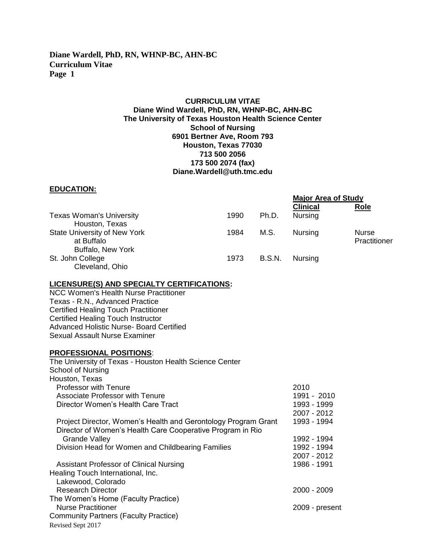#### **CURRICULUM VITAE Diane Wind Wardell, PhD, RN, WHNP-BC, AHN-BC The University of Texas Houston Health Science Center School of Nursing 6901 Bertner Ave, Room 793 Houston, Texas 77030 713 500 2056 173 500 2074 (fax) Diane.Wardell@uth.tmc.edu**

#### **EDUCATION:**

| ----------                                                             |      |               | <b>Major Area of Study</b> |                              |
|------------------------------------------------------------------------|------|---------------|----------------------------|------------------------------|
|                                                                        |      |               | <b>Clinical</b>            | Role                         |
| <b>Texas Woman's University</b><br>Houston, Texas                      | 1990 | Ph.D.         | <b>Nursing</b>             |                              |
| <b>State University of New York</b><br>at Buffalo<br>Buffalo, New York | 1984 | M.S.          | <b>Nursing</b>             | <b>Nurse</b><br>Practitioner |
| St. John College<br>Cleveland, Ohio                                    | 1973 | <b>B.S.N.</b> | Nursing                    |                              |

#### **LICENSURE(S) AND SPECIALTY CERTIFICATIONS:**

NCC Women's Health Nurse Practitioner Texas - R.N., Advanced Practice Certified Healing Touch Practitioner Certified Healing Touch Instructor Advanced Holistic Nurse- Board Certified Sexual Assault Nurse Examiner

#### **PROFESSIONAL POSITIONS**:

| The University of Texas - Houston Health Science Center                                                                      |                |
|------------------------------------------------------------------------------------------------------------------------------|----------------|
| <b>School of Nursing</b>                                                                                                     |                |
| Houston, Texas                                                                                                               |                |
| <b>Professor with Tenure</b>                                                                                                 | 2010           |
| <b>Associate Professor with Tenure</b>                                                                                       | 1991 - 2010    |
| Director Women's Health Care Tract                                                                                           | 1993 - 1999    |
|                                                                                                                              | 2007 - 2012    |
| Project Director, Women's Health and Gerontology Program Grant<br>Director of Women's Health Care Cooperative Program in Rio | 1993 - 1994    |
| <b>Grande Valley</b>                                                                                                         | 1992 - 1994    |
| Division Head for Women and Childbearing Families                                                                            | 1992 - 1994    |
|                                                                                                                              | 2007 - 2012    |
| Assistant Professor of Clinical Nursing                                                                                      | 1986 - 1991    |
| Healing Touch International, Inc.                                                                                            |                |
| Lakewood, Colorado                                                                                                           |                |
| Research Director                                                                                                            | 2000 - 2009    |
| The Women's Home (Faculty Practice)                                                                                          |                |
| <b>Nurse Practitioner</b>                                                                                                    | 2009 - present |
| <b>Community Partners (Faculty Practice)</b>                                                                                 |                |
| Revised Sept 2017                                                                                                            |                |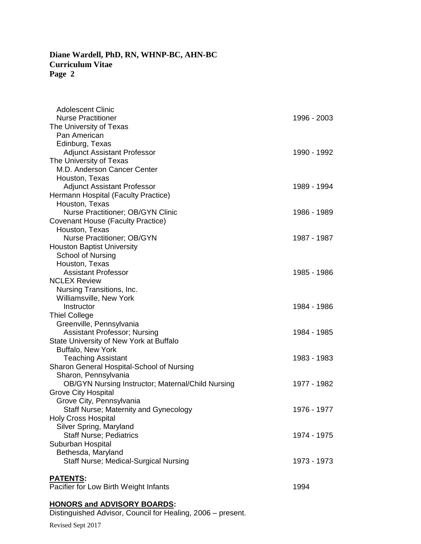| Adolescent Clinic                                        |             |
|----------------------------------------------------------|-------------|
| <b>Nurse Practitioner</b>                                | 1996 - 2003 |
| The University of Texas                                  |             |
| Pan American                                             |             |
| Edinburg, Texas                                          |             |
| <b>Adjunct Assistant Professor</b>                       | 1990 - 1992 |
| The University of Texas                                  |             |
| M.D. Anderson Cancer Center                              |             |
| Houston, Texas                                           |             |
| <b>Adjunct Assistant Professor</b>                       | 1989 - 1994 |
| Hermann Hospital (Faculty Practice)                      |             |
| Houston, Texas                                           |             |
| Nurse Practitioner; OB/GYN Clinic                        | 1986 - 1989 |
| Covenant House (Faculty Practice)                        |             |
| Houston, Texas                                           |             |
| <b>Nurse Practitioner; OB/GYN</b>                        | 1987 - 1987 |
| <b>Houston Baptist University</b>                        |             |
| School of Nursing                                        |             |
| Houston, Texas                                           |             |
| <b>Assistant Professor</b>                               | 1985 - 1986 |
| <b>NCLEX Review</b>                                      |             |
| Nursing Transitions, Inc.                                |             |
| <b>Williamsville, New York</b>                           |             |
| Instructor                                               | 1984 - 1986 |
| <b>Thiel College</b>                                     |             |
| Greenville, Pennsylvania                                 |             |
| <b>Assistant Professor; Nursing</b>                      | 1984 - 1985 |
| State University of New York at Buffalo                  |             |
| <b>Buffalo, New York</b>                                 |             |
|                                                          | 1983 - 1983 |
| <b>Teaching Assistant</b>                                |             |
| Sharon General Hospital-School of Nursing                |             |
| Sharon, Pennsylvania                                     | 1977 - 1982 |
| <b>OB/GYN Nursing Instructor; Maternal/Child Nursing</b> |             |
| <b>Grove City Hospital</b>                               |             |
| Grove City, Pennsylvania                                 |             |
| Staff Nurse; Maternity and Gynecology                    | 1976 - 1977 |
| <b>Holy Cross Hospital</b>                               |             |
| Silver Spring, Maryland                                  |             |
| <b>Staff Nurse; Pediatrics</b>                           | 1974 - 1975 |
| Suburban Hospital                                        |             |
| Bethesda, Maryland                                       |             |
| Staff Nurse; Medical-Surgical Nursing                    | 1973 - 1973 |
|                                                          |             |
| <b>PATENTS:</b>                                          |             |
| Pacifier for Low Birth Weight Infants                    | 1994        |

#### **HONORS and ADVISORY BOARDS:**

Distinguished Advisor, Council for Healing, 2006 – present.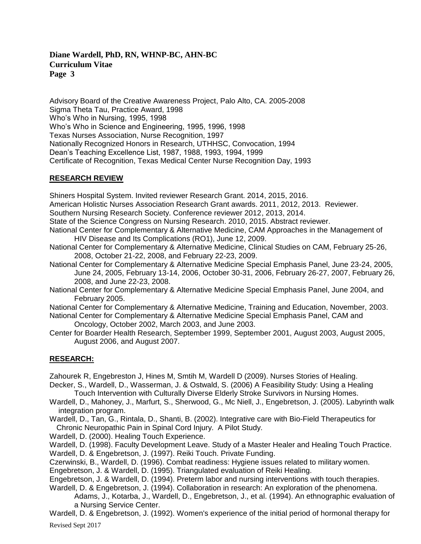Advisory Board of the Creative Awareness Project, Palo Alto, CA. 2005-2008 Sigma Theta Tau, Practice Award, 1998 Who's Who in Nursing, 1995, 1998 Who's Who in Science and Engineering, 1995, 1996, 1998 Texas Nurses Association, Nurse Recognition, 1997 Nationally Recognized Honors in Research, UTHHSC, Convocation, 1994 Dean's Teaching Excellence List, 1987, 1988, 1993, 1994, 1999 Certificate of Recognition, Texas Medical Center Nurse Recognition Day, 1993

#### **RESEARCH REVIEW**

Shiners Hospital System. Invited reviewer Research Grant. 2014, 2015, 2016.

American Holistic Nurses Association Research Grant awards. 2011, 2012, 2013. Reviewer.

Southern Nursing Research Society. Conference reviewer 2012, 2013, 2014.

- State of the Science Congress on Nursing Research. 2010, 2015. Abstract reviewer.
- National Center for Complementary & Alternative Medicine, CAM Approaches in the Management of HIV Disease and Its Complications (RO1), June 12, 2009.
- National Center for Complementary & Alternative Medicine, Clinical Studies on CAM, February 25-26, 2008, October 21-22, 2008, and February 22-23, 2009.
- National Center for Complementary & Alternative Medicine Special Emphasis Panel, June 23-24, 2005, June 24, 2005, February 13-14, 2006, October 30-31, 2006, February 26-27, 2007, February 26, 2008, and June 22-23, 2008.
- National Center for Complementary & Alternative Medicine Special Emphasis Panel, June 2004, and February 2005.

National Center for Complementary & Alternative Medicine, Training and Education, November, 2003.

- National Center for Complementary & Alternative Medicine Special Emphasis Panel, CAM and Oncology, October 2002, March 2003, and June 2003.
- Center for Boarder Health Research, September 1999, September 2001, August 2003, August 2005, August 2006, and August 2007.

## **RESEARCH:**

Zahourek R, Engebreston J, Hines M, Smtih M, Wardell D (2009). Nurses Stories of Healing.

Decker, S., Wardell, D., Wasserman, J. & Ostwald, S. (2006) A Feasibility Study: Using a Healing Touch Intervention with Culturally Diverse Elderly Stroke Survivors in Nursing Homes.

- Wardell, D., Mahoney, J., Marfurt, S., Sherwood, G., Mc Niell, J., Engebretson, J. (2005). Labyrinth walk integration program.
- Wardell, D., Tan, G., Rintala, D., Shanti, B. (2002). Integrative care with Bio-Field Therapeutics for Chronic Neuropathic Pain in Spinal Cord Injury. A Pilot Study.
- Wardell, D. (2000). Healing Touch Experience.

Wardell, D. (1998). Faculty Development Leave. Study of a Master Healer and Healing Touch Practice. Wardell, D. & Engebretson, J. (1997). Reiki Touch. Private Funding.

Czerwinski, B., Wardell, D. (1996). Combat readiness: Hygiene issues related to military women.

Engebretson, J. & Wardell, D. (1995). Triangulated evaluation of Reiki Healing.

Engebretson, J. & Wardell, D. (1994). Preterm labor and nursing interventions with touch therapies.

Wardell, D. & Engebretson, J. (1994). Collaboration in research: An exploration of the phenomena.

Adams, J., Kotarba, J., Wardell, D., Engebretson, J., et al. (1994). An ethnographic evaluation of a Nursing Service Center.

Revised Sept 2017 Wardell, D. & Engebretson, J. (1992). Women's experience of the initial period of hormonal therapy for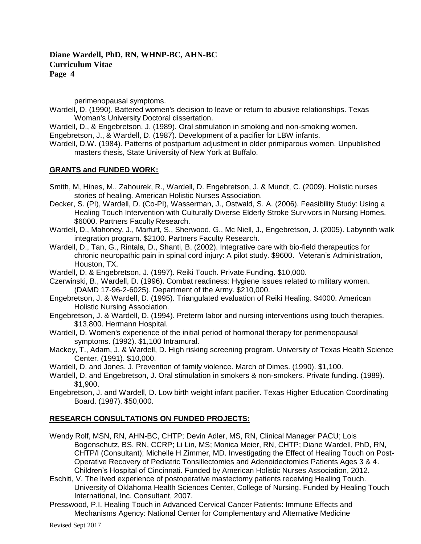perimenopausal symptoms.

Wardell, D. (1990). Battered women's decision to leave or return to abusive relationships. Texas Woman's University Doctoral dissertation.

Wardell, D., & Engebretson, J. (1989). Oral stimulation in smoking and non-smoking women. Engebretson, J., & Wardell, D. (1987). Development of a pacifier for LBW infants.

Wardell, D.W. (1984). Patterns of postpartum adjustment in older primiparous women. Unpublished masters thesis, State University of New York at Buffalo.

#### **GRANTS and FUNDED WORK:**

- Smith, M, Hines, M., Zahourek, R., Wardell, D. Engebretson, J. & Mundt, C. (2009). Holistic nurses stories of healing. American Holistic Nurses Association.
- Decker, S. (PI), Wardell, D. (Co-PI), Wasserman, J., Ostwald, S. A. (2006). Feasibility Study: Using a Healing Touch Intervention with Culturally Diverse Elderly Stroke Survivors in Nursing Homes. \$6000. Partners Faculty Research.
- Wardell, D., Mahoney, J., Marfurt, S., Sherwood, G., Mc Niell, J., Engebretson, J. (2005). Labyrinth walk integration program. \$2100. Partners Faculty Research.
- Wardell, D., Tan, G., Rintala, D., Shanti, B. (2002). Integrative care with bio-field therapeutics for chronic neuropathic pain in spinal cord injury: A pilot study. \$9600. Veteran's Administration, Houston, TX.

Wardell, D. & Engebretson, J. (1997). Reiki Touch. Private Funding. \$10,000.

- Czerwinski, B., Wardell, D. (1996). Combat readiness: Hygiene issues related to military women. (DAMD 17-96-2-6025). Department of the Army. \$210,000.
- Engebretson, J. & Wardell, D. (1995). Triangulated evaluation of Reiki Healing. \$4000. American Holistic Nursing Association.
- Engebretson, J. & Wardell, D. (1994). Preterm labor and nursing interventions using touch therapies. \$13,800. Hermann Hospital.
- Wardell, D. Women's experience of the initial period of hormonal therapy for perimenopausal symptoms. (1992). \$1,100 Intramural.
- Mackey, T., Adam, J. & Wardell, D. High risking screening program. University of Texas Health Science Center. (1991). \$10,000.
- Wardell, D. and Jones, J. Prevention of family violence. March of Dimes. (1990). \$1,100.
- Wardell, D. and Engebretson, J. Oral stimulation in smokers & non-smokers. Private funding. (1989). \$1,900.
- Engebretson, J. and Wardell, D. Low birth weight infant pacifier. Texas Higher Education Coordinating Board. (1987). \$50,000.

#### **RESEARCH CONSULTATIONS ON FUNDED PROJECTS:**

- Wendy Rolf, MSN, RN, AHN-BC, CHTP; Devin Adler, MS, RN, Clinical Manager PACU; Lois Bogenschutz, BS, RN, CCRP; Li Lin, MS; Monica Meier, RN, CHTP; Diane Wardell, PhD, RN, CHTP/I (Consultant); Michelle H Zimmer, MD. Investigating the Effect of Healing Touch on Post-Operative Recovery of Pediatric Tonsillectomies and Adenoidectomies Patients Ages 3 & 4. Children's Hospital of Cincinnati. Funded by American Holistic Nurses Association, 2012.
- Eschiti, V. The lived experience of postoperative mastectomy patients receiving Healing Touch. University of Oklahoma Health Sciences Center, College of Nursing. Funded by Healing Touch International, Inc. Consultant, 2007.
- Presswood, P.I. Healing Touch in Advanced Cervical Cancer Patients: Immune Effects and Mechanisms Agency: National Center for Complementary and Alternative Medicine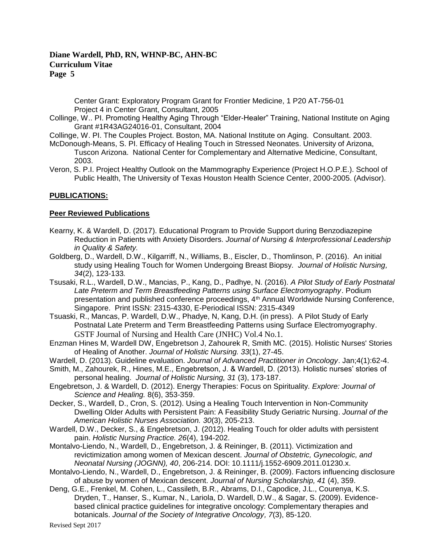Center Grant: Exploratory Program Grant for Frontier Medicine, 1 P20 AT-756-01 Project 4 in Center Grant, Consultant, 2005

- Collinge, W.. PI. Promoting Healthy Aging Through "Elder-Healer" Training, National Institute on Aging Grant #1R43AG24016-01, Consultant, 2004
- Collinge, W. PI. The Couples Project. Boston, MA. National Institute on Aging. Consultant. 2003.
- McDonough-Means, S. PI. Efficacy of Healing Touch in Stressed Neonates. University of Arizona, Tuscon Arizona. National Center for Complementary and Alternative Medicine, Consultant, 2003.
- Veron, S. P.I. Project Healthy Outlook on the Mammography Experience (Project H.O.P.E.). School of Public Health, The University of Texas Houston Health Science Center, 2000-2005. (Advisor).

### **PUBLICATIONS:**

#### **Peer Reviewed Publications**

- Kearny, K. & Wardell, D. (2017). Educational Program to Provide Support during Benzodiazepine Reduction in Patients with Anxiety Disorders. *Journal of Nursing & Interprofessional Leadership in Quality & Safety.*
- Goldberg, D., Wardell, D.W., Kilgarriff, N., Williams, B., Eiscler, D., Thomlinson, P. (2016). An initial study using Healing Touch for Women Undergoing Breast Biopsy. *Journal of Holistic Nursing, 34*(2), 123-133*.*
- Tsusaki, R.L., Wardell, D.W., Mancias, P., Kang, D., Padhye, N. (2016). *A Pilot Study of Early Postnatal Late Preterm and Term Breastfeeding Patterns using Surface Electromyography*. Podium presentation and published conference proceedings, 4<sup>th</sup> Annual Worldwide Nursing Conference, Singapore. Print ISSN: 2315-4330, E-Periodical ISSN: 2315-4349
- Tsuaski, R., Mancas, P. Wardell, D.W., Phadye, N, Kang, D.H. (in press). A Pilot Study of Early Postnatal Late Preterm and Term Breastfeeding Patterns using Surface Electromyography. GSTF Journal of Nursing and Health Care (JNHC) Vol.4 No.1.
- Enzman Hines M, Wardell DW, Engebretson J, Zahourek R, Smith MC. (2015). [Holistic Nurses' Stories](http://www-ncbi-nlm-nih-gov.ezproxyhost.library.tmc.edu/pubmed/24879619)  [of Healing of Another.](http://www-ncbi-nlm-nih-gov.ezproxyhost.library.tmc.edu/pubmed/24879619) *Journal of Holistic Nursing. 33*(1), 27-45.
- Wardell, D. (2013). Guideline evaluation. *Journal of Advanced Practitioner in Oncology*. Jan;4(1):62-4.
- Smith, M., Zahourek, R., Hines, M.E., Engebretson, J. & Wardell, D. (2013). Holistic nurses' stories of personal healing. *Journal of Holistic Nursing, 31* (3), 173-187.
- Engebretson, J. & Wardell, D. (2012). Energy Therapies: Focus on Spirituality*. Explore: Journal of Science and Healing.* 8(6), 353-359.
- Decker, S., Wardell, D., Cron, S. (2012). Using a Healing Touch Intervention in Non-Community Dwelling Older Adults with Persistent Pain: A Feasibility Study Geriatric Nursing. *Journal of the American Holistic Nurses Association. 30*(3), 205-213.
- Wardell, D.W., Decker, S., & Engebretson, J. (2012). Healing Touch for older adults with persistent pain. *Holistic Nursing Practice. 26*(4), 194-202.
- Montalvo-Liendo, N., Wardell, D., Engebretson, J. & Reininger, B. (2011). Victimization and revictimization among women of Mexican descent. *Journal of Obstetric, Gynecologic, and Neonatal Nursing (JOGNN), 40*, 206-214. DOI: 10.1111/j.1552-6909.2011.01230.x.
- Montalvo-Liendo, N., Wardell, D., Engebretson, J. & Reininger, B. (2009). Factors influencing disclosure of abuse by women of Mexican descent. *Journal of Nursing Scholarship, 41* (4), 359.
- Deng, G.E., Frenkel, M. Cohen, L., Cassileth, B.R., Abrams, D.I., Capodice, J.L., Courenya, K.S. Dryden, T., Hanser, S., Kumar, N., Lariola, D. Wardell, D.W., & Sagar, S. (2009). Evidencebased clinical practice guidelines for integrative oncology: Complementary therapies and botanicals. *Journal of the Society of Integrative Oncology, 7*(3), 85-120.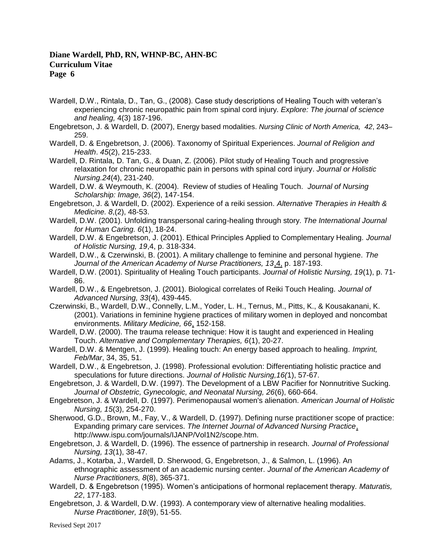- Wardell, D.W., Rintala, D., Tan, G., (2008). Case study descriptions of Healing Touch with veteran's experiencing chronic neuropathic pain from spinal cord injury. *Explore: The journal of science and healing,* 4(3) 187-196.
- Engebretson, J. & Wardell, D. (2007), Energy based modalities. *Nursing Clinic of North America, 42*, 243– 259.
- Wardell, D. & Engebretson, J. (2006). Taxonomy of Spiritual Experiences. *Journal of Religion and Health*. *45*(2), 215-233.
- Wardell, D. Rintala, D. Tan, G., & Duan, Z. (2006). Pilot study of Healing Touch and progressive relaxation for chronic neuropathic pain in persons with spinal cord injury. *Journal or Holistic Nursing.24*(4), 231-240.
- Wardell, D.W. & Weymouth, K. (2004). Review of studies of Healing Touch*. Journal of Nursing Scholarship: Image, 36*(2), 147-154.
- Engebretson, J. & Wardell, D. (2002). Experience of a reiki session. *Alternative Therapies in Health & Medicine. 8*,(2), 48-53.
- Wardell, D.W. (2001). Unfolding transpersonal caring-healing through story. *The International Journal for Human Caring. 6*(1), 18-24.
- Wardell, D.W. & Engebretson, J. (2001). Ethical Principles Applied to Complementary Healing. *Journal of Holistic Nursing, 19*,4, p. 318-334.
- Wardell, D.W., & Czerwinski, B. (2001). A military challenge to feminine and personal hygiene. *The Journal of the American Academy of Nurse Practitioners, 13*,4, p. 187-193.
- Wardell, D.W. (2001). Spirituality of Healing Touch participants. *Journal of Holistic Nursing, 19*(1), p. 71- 86.
- Wardell, D.W., & Engebretson, J. (2001). Biological correlates of Reiki Touch Healing. *Journal of Advanced Nursing, 33*(4), 439-445.
- Czerwinski, B., Wardell, D.W., Connelly, L.M., Yoder, L. H., Ternus, M., Pitts, K., & Kousakanani, K. (2001). Variations in feminine hygiene practices of military women in deployed and noncombat environments. *Military Medicine, 66*, 152-158.
- Wardell, D.W. (2000). The trauma release technique: How it is taught and experienced in Healing Touch. *Alternative and Complementary Therapies, 6*(1), 20-27.
- Wardell, D.W. & Mentgen, J. (1999). Healing touch: An energy based approach to healing. *Imprint, Feb/Mar*, 34, 35, 51.
- Wardell, D.W., & Engebretson, J. (1998). Professional evolution: Differentiating holistic practice and speculations for future directions. *Journal of Holistic Nursing,16(*1), 57-67.
- Engebretson, J. & Wardell, D.W. (1997). The Development of a LBW Pacifier for Nonnutritive Sucking. *Journal of Obstetric, Gynecologic, and Neonatal Nursing, 26*(6), 660-664.
- Engebretson, J. & Wardell, D. (1997). Perimenopausal women's alienation. *American Journal of Holistic Nursing, 15*(3), 254-270.
- Sherwood, G.D., Brown, M., Fay, V., & Wardell, D. (1997). Defining nurse practitioner scope of practice: Expanding primary care services. *The Internet Journal of Advanced Nursing Practice*, http://www.ispu.com/journals/IJANP/Vol1N2/scope.htm.
- Engebretson, J. & Wardell, D. (1996). The essence of partnership in research. *Journal of Professional Nursing, 13*(1), 38-47.
- Adams, J., Kotarba, J., Wardell, D. Sherwood, G, Engebretson, J., & Salmon, L. (1996). An ethnographic assessment of an academic nursing center. *Journal of the American Academy of Nurse Practitioners, 8*(8), 365-371.
- Wardell, D. & Engebretson (1995). Women's anticipations of hormonal replacement therapy. *Maturatis, 22*, 177-183.
- Engebretson, J. & Wardell, D.W. (1993). A contemporary view of alternative healing modalities. *Nurse Practitioner, 18*(9), 51-55.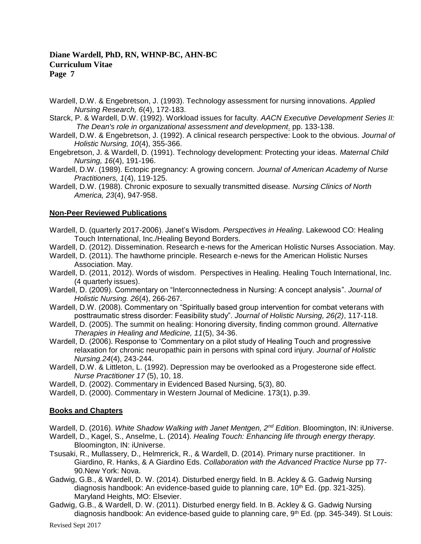- Wardell, D.W. & Engebretson, J. (1993). Technology assessment for nursing innovations. *Applied Nursing Research, 6*(4), 172-183.
- Starck, P. & Wardell, D.W. (1992). Workload issues for faculty. *AACN Executive Development Series II: The Dean's role in organizational assessment and development*. pp. 133-138.
- Wardell, D.W. & Engebretson, J. (1992). A clinical research perspective: Look to the obvious. *Journal of Holistic Nursing, 10*(4), 355-366.
- Engebretson, J. & Wardell, D. (1991). Technology development: Protecting your ideas. *Maternal Child Nursing, 16*(4), 191-196.
- Wardell, D.W. (1989). Ectopic pregnancy: A growing concern. *Journal of American Academy of Nurse Practitioners, 1*(4), 119-125.
- Wardell, D.W. (1988). Chronic exposure to sexually transmitted disease. *Nursing Clinics of North America, 23*(4), 947-958.

#### **Non-Peer Reviewed Publications**

- Wardell, D. (quarterly 2017-2006). Janet's Wisdom. *Perspectives in Healing*. Lakewood CO: Healing Touch International, Inc./Healing Beyond Borders.
- Wardell, D. (2012). Dissemination. Research e-news for the American Holistic Nurses Association. May.
- Wardell, D. (2011). The hawthorne principle. Research e-news for the American Holistic Nurses Association. May.
- Wardell, D. (2011, 2012). Words of wisdom. Perspectives in Healing. Healing Touch International, Inc. (4 quarterly issues).
- Wardell, D. (2009). Commentary on "Interconnectedness in Nursing: A concept analysis". *Journal of Holistic Nursing. 26*(4), 266-267.
- Wardell, D.W. (2008). Commentary on "Spiritually based group intervention for combat veterans with posttraumatic stress disorder: Feasibility study". *Journal of Holistic Nursing, 26(2)*, 117-118.
- Wardell, D. (2005). The summit on healing: Honoring diversity, finding common ground. *Alternative Therapies in Healing and Medicine, 11*(5), 34-36.
- Wardell, D. (2006). Response to 'Commentary on a pilot study of Healing Touch and progressive relaxation for chronic neuropathic pain in persons with spinal cord injury. *Journal of Holistic Nursing.24*(4), 243-244.
- Wardell, D.W. & Littleton, L. (1992). Depression may be overlooked as a Progesterone side effect. *Nurse Practitioner 17* (5), 10, 18.
- Wardell, D. (2002). Commentary in Evidenced Based Nursing, 5(3), 80.
- Wardell, D. (2000). Commentary in Western Journal of Medicine. 173(1), p.39.

#### **Books and Chapters**

Wardell, D. (2016). *White Shadow Walking with Janet Mentgen, 2nd Edition*. Bloomington, IN: iUniverse.

- Wardell, D., Kagel, S., Anselme, L. (2014). *Healing Touch: Enhancing life through energy therapy.* Bloomington, IN: iUniverse.
- Tsusaki, R., Mullassery, D., Helmrerick, R., & Wardell, D. (2014). Primary nurse practitioner. In Giardino, R. Hanks, & A Giardino Eds. *Collaboration with the Advanced Practice Nurse* pp 77- 90.New York: Nova.
- Gadwig, G.B., & Wardell, D. W. (2014). Disturbed energy field. In B. Ackley & G. Gadwig Nursing diagnosis handbook: An evidence-based guide to planning care,  $10<sup>th</sup>$  Ed. (pp. 321-325). Maryland Heights, MO: Elsevier.
- Gadwig, G.B., & Wardell, D. W. (2011). Disturbed energy field. In B. Ackley & G. Gadwig Nursing diagnosis handbook: An evidence-based guide to planning care, 9<sup>th</sup> Ed. (pp. 345-349). St Louis: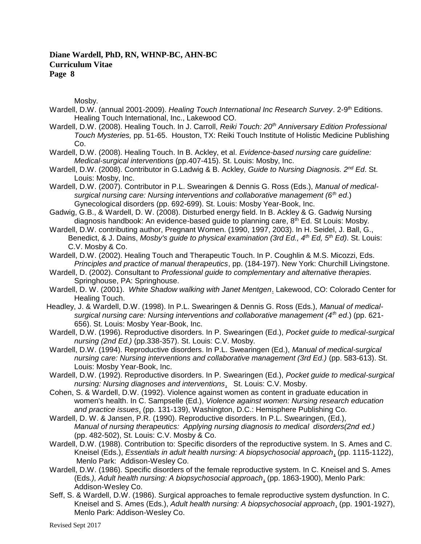Mosby.

- Wardell, D.W. (annual 2001-2009). Healing Touch International Inc Research Survey. 2-9<sup>th</sup> Editions. Healing Touch International, Inc., Lakewood CO.
- Wardell, D.W. (2008). Healing Touch. In J. Carroll, *Reiki Touch: 20th Anniversary Edition Professional Touch Mysteries,* pp. 51-65. Houston, TX: Reiki Touch Institute of Holistic Medicine Publishing Co.
- Wardell, D.W. (2008). Healing Touch. In B. Ackley, et al. *Evidence-based nursing care guideline: Medical-surgical interventions* (pp.407-415). St. Louis: Mosby, Inc.
- Wardell, D.W. (2008). Contributor in G.Ladwig & B. Ackley, *Guide to Nursing Diagnosis. 2nd Ed*. St. Louis: Mosby, Inc.
- Wardell, D.W. (2007). Contributor in P.L. Swearingen & Dennis G. Ross (Eds.), *Manual of medicalsurgical nursing care: Nursing interventions and collaborative management (6th ed*.) Gynecological disorders (pp. 692-699). St. Louis: Mosby Year-Book, Inc.
- Gadwig, G.B., & Wardell, D. W. (2008). Disturbed energy field. In B. Ackley & G. Gadwig Nursing diagnosis handbook: An evidence-based guide to planning care,  $8<sup>th</sup>$  Ed. St Louis: Mosby.
- Wardell, D.W. contributing author, Pregnant Women. (1990, 1997, 2003). In H. Seidel, J. Ball, G., Benedict, & J. Dains, *Mosby's guide to physical examination (3rd Ed., 4th Ed, 5th Ed)*. St. Louis: C.V. Mosby & Co.
- Wardell, D.W. (2002). Healing Touch and Therapeutic Touch. In P. Coughlin & M.S. Micozzi, Eds. *Principles and practice of manual therapeutics*, pp. (184-197). New York: Churchill Livingstone.
- Wardell, D. (2002). Consultant to *Professional guide to complementary and alternative therapies.* Springhouse, PA: Springhouse.
- Wardell, D. W. (2001). *White Shadow walking with Janet Mentgen*. Lakewood, CO: Colorado Center for Healing Touch.
- Headley, J. & Wardell, D.W. (1998). In P.L. Swearingen & Dennis G. Ross (Eds.), *Manual of medicalsurgical nursing care: Nursing interventions and collaborative management (4th ed*.) (pp. 621- 656). St. Louis: Mosby Year-Book, Inc.
- Wardell, D.W. (1996). Reproductive disorders. In P. Swearingen (Ed.), *Pocket guide to medical-surgical nursing (2nd Ed.)* (pp.338-357). St. Louis: C.V. Mosby.
- Wardell, D.W. (1994). Reproductive disorders. In P.L. Swearingen (Ed.), *Manual of medical-surgical nursing care: Nursing interventions and collaborative management (3rd Ed.)* (pp. 583-613). St. Louis: Mosby Year-Book, Inc.
- Wardell, D.W. (1992). Reproductive disorders. In P. Swearingen (Ed.), *Pocket guide to medical-surgical nursing: Nursing diagnoses and interventions*, St. Louis: C.V. Mosby.
- Cohen, S. & Wardell, D.W. (1992). Violence against women as content in graduate education in women's health. In C. Sampselle (Ed.), *Violence against women: Nursing research education and practice issues*, (pp. 131-139), Washington, D.C.: Hemisphere Publishing Co.
- Wardell, D. W. & Jansen, P.R. (1990). Reproductive disorders. In P.L. Swearingen, (Ed.), *Manual of nursing therapeutics: Applying nursing diagnosis to medical disorders(2nd ed.)* (pp. 482-502), St. Louis: C.V. Mosby & Co.
- Wardell, D.W. (1988). Contribution to: Specific disorders of the reproductive system. In S. Ames and C. Kneisel (Eds.), *Essentials in adult health nursing: A biopsychosocial approach*, (pp. 1115-1122), Menlo Park: Addison-Wesley Co.
- Wardell, D.W. (1986). Specific disorders of the female reproductive system. In C. Kneisel and S. Ames (Eds*.), Adult health nursing: A biopsychosocial approach*, (pp. 1863-1900), Menlo Park: Addison-Wesley Co.
- Seff, S. & Wardell, D.W. (1986). Surgical approaches to female reproductive system dysfunction. In C. Kneisel and S. Ames (Eds.), *Adult health nursing: A biopsychosocial approach*, (pp. 1901-1927), Menlo Park: Addison-Wesley Co.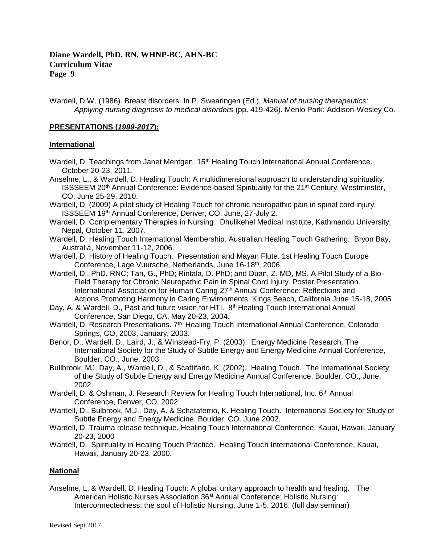Wardell, D.W. (1986). Breast disorders. In P. Swearingen (Ed.), *Manual of nursing therapeutics: Applying nursing diagnosis to medical disorders* (pp. 419-426). Menlo Park: Addison-Wesley Co.

#### **PRESENTATIONS (***1999-2017***):**

#### **International**

Wardell, D. Teachings from Janet Mentgen. 15<sup>th</sup> Healing Touch International Annual Conference. October 20-23, 2011.

Anselme, L., & Wardell, D. Healing Touch: A multidimensional approach to understanding spirituality. ISSSEEM 20<sup>th</sup> Annual Conference: Evidence-based Spirituality for the 21<sup>st</sup> Century, Westminster, CO, June 25-29, 2010.

- Wardell, D. (2009) A pilot study of Healing Touch for chronic neuropathic pain in spinal cord injury. ISSSEEM 19th Annual Conference, Denver, CO. June, 27-July 2.
- Wardell, D. Complementary Therapies in Nursing. Dhulikehel Medical Institute, Kathmandu University, Nepal, October 11, 2007.
- Wardell, D. Healing Touch International Membership. Australian Healing Touch Gathering. Bryon Bay, Australia, November 11-12, 2006.
- Wardell, D. History of Healing Touch. Presentation and Mayan Flute. 1st Healing Touch Europe Conference, Lage Vuursche, Netherlands, June 16-18th, 2006.
- Wardell, D., PhD, RNC; Tan, G., PhD; Rintala, D. PhD; and Duan, Z. MD, MS. A Pilot Study of a Bio-Field Therapy for Chronic Neuropathic Pain in Spinal Cord Injury. Poster Presentation. International Association for Human Caring 27<sup>th</sup> Annual Conference: Reflections and Actions.Promoting Harmony in Caring Environments, Kings Beach, California June 15-18, 2005
- Day, A. & Wardell, D., Past and future vision for HTI. 8<sup>th</sup> Healing Touch International Annual Conference, San Diego, CA, May 20-23, 2004.
- Wardell, D. Research Presentations. 7<sup>th</sup> Healing Touch International Annual Conference, Colorado Springs, CO, 2003, January, 2003.
- Benor, D., Wardell, D., Laird, J., & Winstead-Fry, P. (2003). Energy Medicine Research. The International Society for the Study of Subtle Energy and Energy Medicine Annual Conference, Boulder, CO., June, 2003.
- Bullbrook, MJ, Day, A., Wardell, D., & Scattifario, K. (2002). Healing Touch. The International Society of the Study of Subtle Energy and Energy Medicine Annual Conference, Boulder, CO., June, 2002.
- Wardell, D. & Oshman, J. Research Review for Healing Touch International, Inc. 6<sup>th</sup> Annual Conference, Denver, CO, 2002.
- Wardell, D., Bulbrook, M.J., Day, A. & Schataferrio, K. Healing Touch. International Society for Study of Subtle Energy and Energy Medicine. Boulder, CO. June 2002.
- Wardell, D. Trauma release technique. Healing Touch International Conference, Kauai, Hawaii, January 20-23, 2000
- Wardell, D. Spirituality in Healing Touch Practice. Healing Touch International Conference, Kauai, Hawaii, January 20-23, 2000.

#### **National**

Anselme, L, & Wardell, D. Healing Touch: A global unitary approach to health and healing. The American Holistic Nurses Association 36<sup>st</sup> Annual Conference: Holistic Nursing: Interconnectedness: the soul of Holistic Nursing, June 1-5, 2016. (full day seminar)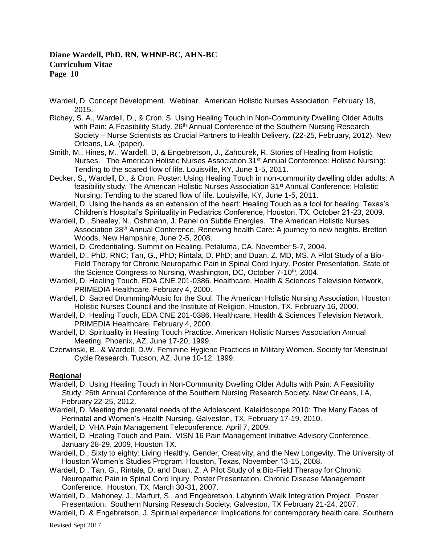- Wardell, D. Concept Development. Webinar. American Holistic Nurses Association. February 18, 2015.
- Richey, S. A., Wardell, D., & Cron, S. Using Healing Touch in Non-Community Dwelling Older Adults with Pain: A Feasibility Study. 26<sup>th</sup> Annual Conference of the Southern Nursing Research Society – Nurse Scientists as Crucial Partners to Health Delivery. (22-25, February, 2012). New Orleans, LA. (paper).
- Smith, M., Hines, M., Wardell, D, & Engebretson, J., Zahourek, R. Stories of Healing from Holistic Nurses. The American Holistic Nurses Association 31st Annual Conference: Holistic Nursing: Tending to the scared flow of life. Louisville, KY, June 1-5, 2011.
- Decker, S., Wardell, D., & Cron. Poster: Using Healing Touch in non-community dwelling older adults: A feasibility study. The American Holistic Nurses Association 31st Annual Conference: Holistic Nursing: Tending to the scared flow of life. Louisville, KY, June 1-5, 2011.
- Wardell, D. Using the hands as an extension of the heart: Healing Touch as a tool for healing. Texas's Children's Hospital's Spirituality in Pediatrics Conference, Houston, TX. October 21-23, 2009.
- Wardell, D., Shealey, N., Oshmann, J. Panel on Subtle Energies. The American Holistic Nurses Association 28th Annual Conference, Renewing health Care: A journey to new heights. Bretton Woods, New Hampshire, June 2-5, 2008.
- Wardell, D. Credentialing. Summit on Healing. Petaluma, CA, November 5-7, 2004.
- Wardell, D., PhD, RNC; Tan, G., PhD; Rintala, D. PhD; and Duan, Z. MD, MS. A Pilot Study of a Bio-Field Therapy for Chronic Neuropathic Pain in Spinal Cord Injury. Poster Presentation. State of the Science Congress to Nursing, Washington, DC, October 7-10<sup>th</sup>, 2004.
- Wardell, D. Healing Touch, EDA CNE 201-0386. Healthcare, Health & Sciences Television Network, PRIMEDIA Healthcare. February 4, 2000.
- Wardell, D. Sacred Drumming/Music for the Soul. The American Holistic Nursing Association, Houston Holistic Nurses Council and the Institute of Religion, Houston, TX. February 16, 2000.
- Wardell, D. Healing Touch, EDA CNE 201-0386. Healthcare, Health & Sciences Television Network, PRIMEDIA Healthcare. February 4, 2000.
- Wardell, D. Spirituality in Healing Touch Practice. American Holistic Nurses Association Annual Meeting. Phoenix, AZ, June 17-20, 1999.
- Czerwinski, B., & Wardell, D.W. Feminine Hygiene Practices in Military Women. Society for Menstrual Cycle Research. Tucson, AZ, June 10-12, 1999.

### **Regional**

- Wardell, D. Using Healing Touch in Non-Community Dwelling Older Adults with Pain: A Feasibility Study. 26th Annual Conference of the Southern Nursing Research Society. New Orleans, LA, February 22-25, 2012.
- Wardell, D. Meeting the prenatal needs of the Adolescent. Kaleidoscope 2010: The Many Faces of Perinatal and Women's Health Nursing. Galveston, TX, February 17-19. 2010.
- Wardell, D. VHA Pain Management Teleconference. April 7, 2009.
- Wardell, D. Healing Touch and Pain. VISN 16 Pain Management Initiative Advisory Conference. January 28-29, 2009, Houston TX.
- Wardell, D., Sixty to eighty: Living Healthy. Gender, Creativity, and the New Longevity, The University of Houston Women's Studies Program. Houston, Texas, November 13-15, 2008.
- Wardell, D., Tan, G., Rintala, D. and Duan, Z. A Pilot Study of a Bio-Field Therapy for Chronic Neuropathic Pain in Spinal Cord Injury. Poster Presentation. Chronic Disease Management Conference. Houston, TX, March 30-31, 2007.
- Wardell, D., Mahoney, J., Marfurt, S., and Engebretson. Labyrinth Walk Integration Project. Poster Presentation. Southern Nursing Research Society. Galveston, TX February 21-24, 2007.
- Wardell, D. & Engebretson, J. Spiritual experience: Implications for contemporary health care. Southern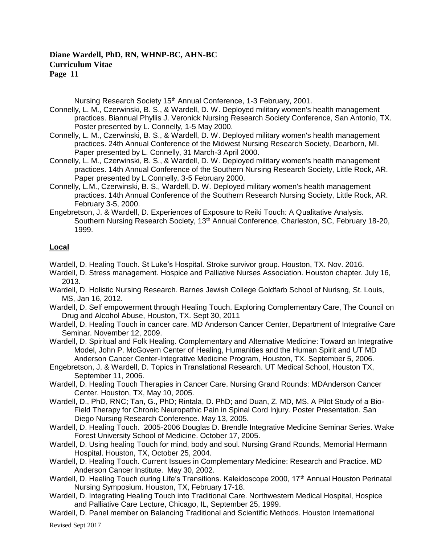Nursing Research Society 15<sup>th</sup> Annual Conference, 1-3 February, 2001.

- Connelly, L. M., Czerwinski, B. S., & Wardell, D. W. Deployed military women's health management practices. Biannual Phyllis J. Veronick Nursing Research Society Conference, San Antonio, TX. Poster presented by L. Connelly, 1-5 May 2000.
- Connelly, L. M., Czerwinski, B. S., & Wardell, D. W. Deployed military women's health management practices. 24th Annual Conference of the Midwest Nursing Research Society, Dearborn, MI. Paper presented by L. Connelly, 31 March-3 April 2000.
- Connelly, L. M., Czerwinski, B. S., & Wardell, D. W. Deployed military women's health management practices. 14th Annual Conference of the Southern Nursing Research Society, Little Rock, AR. Paper presented by L.Connelly, 3-5 February 2000.
- Connelly, L.M., Czerwinski, B. S., Wardell, D. W. Deployed military women's health management practices. 14th Annual Conference of the Southern Research Nursing Society, Little Rock, AR. February 3-5, 2000.
- Engebretson, J. & Wardell, D. Experiences of Exposure to Reiki Touch: A Qualitative Analysis. Southern Nursing Research Society, 13<sup>th</sup> Annual Conference, Charleston, SC, February 18-20, 1999.

### **Local**

- Wardell, D. Healing Touch. St Luke's Hospital. Stroke survivor group. Houston, TX. Nov. 2016.
- Wardell, D. Stress management. Hospice and Palliative Nurses Association. Houston chapter. July 16, 2013.
- Wardell, D. Holistic Nursing Research. Barnes Jewish College Goldfarb School of Nurisng, St. Louis, MS, Jan 16, 2012.
- Wardell, D. Self empowerment through Healing Touch. Exploring Complementary Care, The Council on Drug and Alcohol Abuse, Houston, TX. Sept 30, 2011
- Wardell, D. Healing Touch in cancer care. MD Anderson Cancer Center, Department of Integrative Care Seminar. November 12, 2009.
- Wardell, D. Spiritual and Folk Healing. Complementary and Alternative Medicine: Toward an Integrative Model, John P. McGovern Center of Healing, Humanities and the Human Spirit and UT MD Anderson Cancer Center-Integrative Medicine Program, Houston, TX. September 5, 2006.
- Engebretson, J. & Wardell, D. Topics in Translational Research. UT Medical School, Houston TX, September 11, 2006.
- Wardell, D. Healing Touch Therapies in Cancer Care. Nursing Grand Rounds: MDAnderson Cancer Center. Houston, TX, May 10, 2005.
- Wardell, D., PhD, RNC; Tan, G., PhD; Rintala, D. PhD; and Duan, Z. MD, MS. A Pilot Study of a Bio-Field Therapy for Chronic Neuropathic Pain in Spinal Cord Injury. Poster Presentation. San Diego Nursing Research Conference. May 13, 2005.
- Wardell, D. Healing Touch. 2005-2006 Douglas D. Brendle Integrative Medicine Seminar Series. Wake Forest University School of Medicine. October 17, 2005.
- Wardell, D. Using healing Touch for mind, body and soul. Nursing Grand Rounds, Memorial Hermann Hospital. Houston, TX, October 25, 2004.
- Wardell, D. Healing Touch. Current Issues in Complementary Medicine: Research and Practice. MD Anderson Cancer Institute. May 30, 2002.
- Wardell, D. Healing Touch during Life's Transitions. Kaleidoscope 2000, 17<sup>th</sup> Annual Houston Perinatal Nursing Symposium. Houston, TX, February 17-18.
- Wardell, D. Integrating Healing Touch into Traditional Care. Northwestern Medical Hospital, Hospice and Palliative Care Lecture, Chicago, IL, September 25, 1999.
- Wardell, D. Panel member on Balancing Traditional and Scientific Methods. Houston International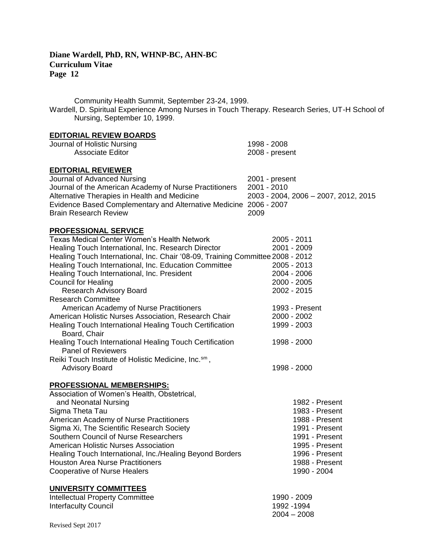Community Health Summit, September 23-24, 1999. Wardell, D. Spiritual Experience Among Nurses in Touch Therapy. Research Series, UT-H School of Nursing, September 10, 1999. **EDITORIAL REVIEW BOARDS**  Journal of Holistic Nursing 1998 - 2008 Associate Editor 2008 - present **EDITORIAL REVIEWER** Journal of Advanced Nursing 2001 - present Journal of the American Academy of Nurse Practitioners 2001 - 2010 Alternative Therapies in Health and Medicine 2003 - 2004, 2006 – 2007, 2012, 2015 Evidence Based Complementary and Alternative Medicine 2006 - 2007 Brain Research Review 2009 **PROFESSIONAL SERVICE** Texas Medical Center Women's Health Network 2005 - 2011 Healing Touch International, Inc. Research Director 2001 - 2009 Healing Touch International, Inc. Chair '08-09, Training Committee 2008 - 2012 Healing Touch International, Inc. Education Committee 2005 - 2013 Healing Touch International, Inc. President 2004 - 2006 Council for Healing 2000 - 2005 Research Advisory Board 2002 - 2015 Research Committee American Academy of Nurse Practitioners 1993 - Present American Holistic Nurses Association, Research Chair 2000 - 2002 Healing Touch International Healing Touch Certification 1999 - 2003 Board, Chair Healing Touch International Healing Touch Certification 1998 - 2000 Panel of Reviewers Reiki Touch Institute of Holistic Medicine, Inc.<sup>sm</sup>, Advisory Board 1998 - 2000 November 2000 November 2000 November 2000 November 2000 November 2000 November 2000 **PROFESSIONAL MEMBERSHIPS:** Association of Women's Health, Obstetrical, and Neonatal Nursing 1982 - Present Sigma Theta Tau 1983 - Present American Academy of Nurse Practitioners 1988 - Present Sigma Xi, The Scientific Research Society 1991 - Present Southern Council of Nurse Researchers 1991 - Present American Holistic Nurses Association 1995 - Present Healing Touch International, Inc./Healing Beyond Borders 1996 - Present Houston Area Nurse Practitioners 1988 - Present Cooperative of Nurse Healers 1990 - 2004 **UNIVERSITY COMMITTEES** Intellectual Property Committee 1990 - 2009

Interfaculty Council **1992** -1994

2004 – 2008